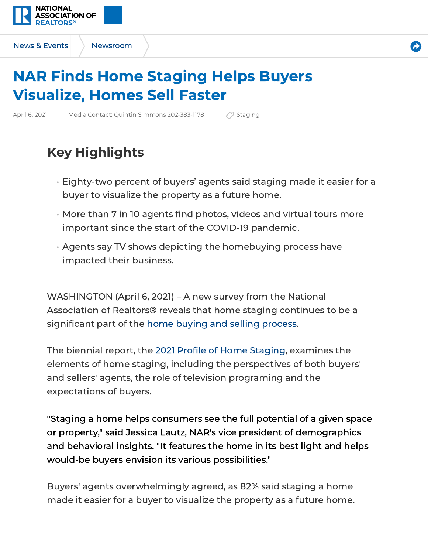

[News & Events](https://www.nar.realtor/news-events) [Newsroom](https://www.nar.realtor/newsroom)



## NAR Finds Home Staging Helps Buyers Visualize, Homes Sell Faster

April 6, 2021 Media Contact: [Quintin Simmons 202-383-1178](https://www.nar.realtor/quintin-simmons) [Staging](https://www.nar.realtor/staging)

## Key Highlights

- Eighty-two percent of buyers' agents said staging made it easier for a buyer to visualize the property as a future home.
- More than 7 in 10 agents find photos, videos and virtual tours more important since the start of the COVID-19 pandemic.
- Agents say TV shows depicting the homebuying process have impacted their business.

WASHINGTON (April 6, 2021) – A new survey from the National Association of Realtors® reveals that home staging continues to be a significant part of the home buying and selling process.

The biennial report, t[he 2021 Profile of Home Staging, ex](https://www.nar.realtor/research-and-statistics/research-reports/home-buyer-and-seller-generational-trends)amines the elements of home staging, including the perspectives of both buyers' and sellers' agents, the [role of television programing a](https://www.nar.realtor/research-and-statistics/research-reports/profile-of-home-staging)nd the expectations of buyers.

"Staging a home helps consumers see the full potential of a given space or property," said Jessica Lautz, NAR's vice president of demographics and behavioral insights. "It features the home in its best light and helps would-be buyers envision its various possibilities."

Buyers' agents overwhelmingly agreed, as 82% said staging a home made it easier for a buyer to visualize the property as a future home.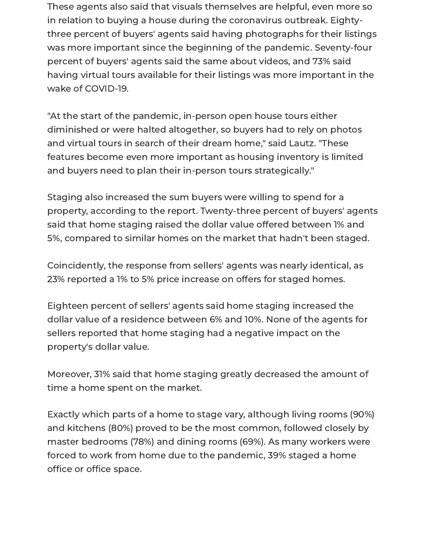These agents also said that visuals themselves are helpful, even more so in relation to buying a house during the coronavirus outbreak. Eightythree percent of buyers' agents said having photographs for their listings was more important since the beginning of the pandemic. Seventy-four percent of buyers' agents said the same about videos, and 73% said having virtual tours available for their listings was more important in the wake of COVID-19.

"At the start of the pandemic, in-person open house tours either diminished or were halted altogether, so buyers had to rely on photos and virtual tours in search of their dream home," said Lautz. "These features become even more important as housing inventory is limited and buyers need to plan their in-person tours strategically."

Staging also increased the sum buyers were willing to spend for a property, according to the report. Twenty-three percent of buyers' agents said that home staging raised the dollar value offered between 1% and 5%, compared to similar homes on the market that hadn't been staged.

Coincidently, the response from sellers' agents was nearly identical, as 23% reported a 1% to 5% price increase on offers for staged homes.

Eighteen percent of sellers' agents said home staging increased the dollar value of a residence between 6% and 10%. None of the agents for sellers reported that home staging had a negative impact on the property's dollar value.

Moreover, 31% said that home staging greatly decreased the amount of time a home spent on the market.

Exactly which parts of a home to stage vary, although living rooms (90%) and kitchens (80%) proved to be the most common, followed closely by master bedrooms (78%) and dining rooms (69%). As many workers were forced to work from home due to the pandemic, 39% staged a home office or office space.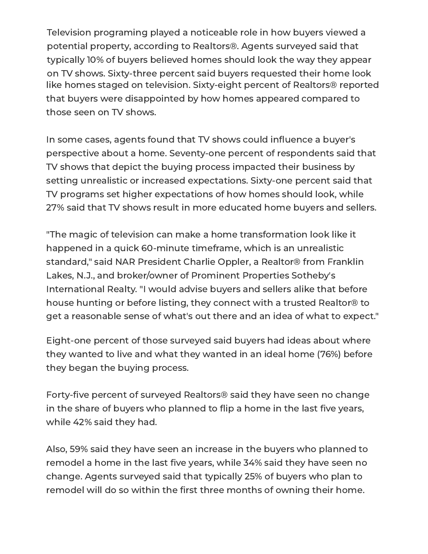like homes staged on television. Sixty-eight percent of Realtors® reported that buyers were disappointed by how homes appeared compared to those seen on TV shows. Television programing played a noticeable role in how buyers viewed a potential property, according to Realtors®. Agents surveyed said that typically 10% of buyers believed homes should look the way they appear on TV shows. Sixty-three percent said buyers requested their home look

In some cases, agents found that TV shows could influence a buyer's perspective about a home. Seventy-one percent of respondents said that TV shows that depict the buying process impacted their business by setting unrealistic or increased expectations. Sixty-one percent said that TV programs set higher expectations of how homes should look, while 27% said that TV shows result in more educated home buyers and sellers.

"The magic of television can make a home transformation look like it happened in a quick 60-minute timeframe, which is an unrealistic standard," said NAR President Charlie Oppler, a Realtor® from Franklin Lakes, N.J., and broker/owner of Prominent Properties Sotheby's International Realty. "I would advise buyers and sellers alike that before house hunting or before listing, they connect with a trusted Realtor® to get a reasonable sense of what's out there and an idea of what to expect."

Eight-one percent of those surveyed said buyers had ideas about where they wanted to live and what they wanted in an ideal home (76%) before they began the buying process.

Forty-five percent of surveyed Realtors® said they have seen no change in the share of buyers who planned to flip a home in the last five years, while 42% said they had.

Also, 59% said they have seen an increase in the buyers who planned to remodel a home in the last five years, while 34% said they have seen no change. Agents surveyed said that typically 25% of buyers who plan to remodel will do so within the first three months of owning their home.